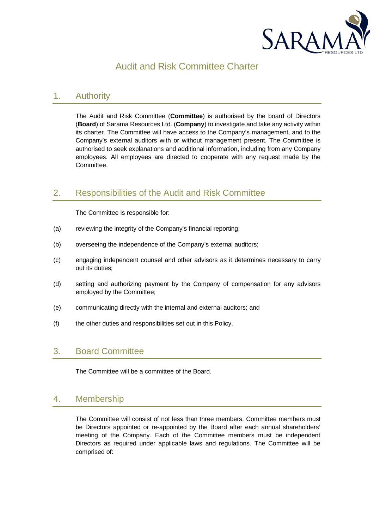

# Audit and Risk Committee Charter

# 1. Authority

The Audit and Risk Committee (**Committee**) is authorised by the board of Directors (**Board**) of Sarama Resources Ltd. (**Company**) to investigate and take any activity within its charter. The Committee will have access to the Company's management, and to the Company's external auditors with or without management present. The Committee is authorised to seek explanations and additional information, including from any Company employees. All employees are directed to cooperate with any request made by the Committee.

# 2. Responsibilities of the Audit and Risk Committee

The Committee is responsible for:

- (a) reviewing the integrity of the Company's financial reporting;
- (b) overseeing the independence of the Company's external auditors;
- (c) engaging independent counsel and other advisors as it determines necessary to carry out its duties;
- (d) setting and authorizing payment by the Company of compensation for any advisors employed by the Committee;
- (e) communicating directly with the internal and external auditors; and
- (f) the other duties and responsibilities set out in this Policy.

## 3. Board Committee

The Committee will be a committee of the Board.

## 4. Membership

The Committee will consist of not less than three members. Committee members must be Directors appointed or re-appointed by the Board after each annual shareholders' meeting of the Company. Each of the Committee members must be independent Directors as required under applicable laws and regulations. The Committee will be comprised of: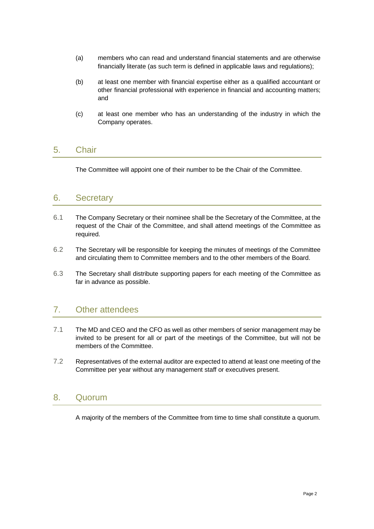- (a) members who can read and understand financial statements and are otherwise financially literate (as such term is defined in applicable laws and regulations);
- (b) at least one member with financial expertise either as a qualified accountant or other financial professional with experience in financial and accounting matters; and
- (c) at least one member who has an understanding of the industry in which the Company operates.

#### 5. Chair

The Committee will appoint one of their number to be the Chair of the Committee.

#### 6. Secretary

- 6.1 The Company Secretary or their nominee shall be the Secretary of the Committee, at the request of the Chair of the Committee, and shall attend meetings of the Committee as required.
- 6.2 The Secretary will be responsible for keeping the minutes of meetings of the Committee and circulating them to Committee members and to the other members of the Board.
- 6.3 The Secretary shall distribute supporting papers for each meeting of the Committee as far in advance as possible.

## 7. Other attendees

- 7.1 The MD and CEO and the CFO as well as other members of senior management may be invited to be present for all or part of the meetings of the Committee, but will not be members of the Committee.
- 7.2 Representatives of the external auditor are expected to attend at least one meeting of the Committee per year without any management staff or executives present.

## 8. Quorum

A majority of the members of the Committee from time to time shall constitute a quorum.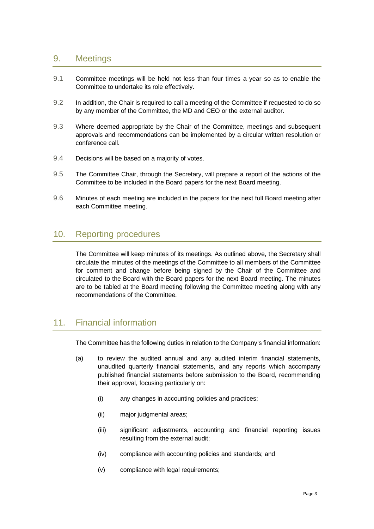## 9. Meetings

- 9.1 Committee meetings will be held not less than four times a year so as to enable the Committee to undertake its role effectively.
- 9.2 In addition, the Chair is required to call a meeting of the Committee if requested to do so by any member of the Committee, the MD and CEO or the external auditor.
- 9.3 Where deemed appropriate by the Chair of the Committee, meetings and subsequent approvals and recommendations can be implemented by a circular written resolution or conference call.
- 9.4 Decisions will be based on a majority of votes.
- 9.5 The Committee Chair, through the Secretary, will prepare a report of the actions of the Committee to be included in the Board papers for the next Board meeting.
- 9.6 Minutes of each meeting are included in the papers for the next full Board meeting after each Committee meeting.

## 10. Reporting procedures

The Committee will keep minutes of its meetings. As outlined above, the Secretary shall circulate the minutes of the meetings of the Committee to all members of the Committee for comment and change before being signed by the Chair of the Committee and circulated to the Board with the Board papers for the next Board meeting. The minutes are to be tabled at the Board meeting following the Committee meeting along with any recommendations of the Committee.

# 11 Financial information

The Committee has the following duties in relation to the Company's financial information:

- (a) to review the audited annual and any audited interim financial statements, unaudited quarterly financial statements, and any reports which accompany published financial statements before submission to the Board, recommending their approval, focusing particularly on:
	- (i) any changes in accounting policies and practices;
	- (ii) major judgmental areas;
	- (iii) significant adjustments, accounting and financial reporting issues resulting from the external audit;
	- (iv) compliance with accounting policies and standards; and
	- (v) compliance with legal requirements;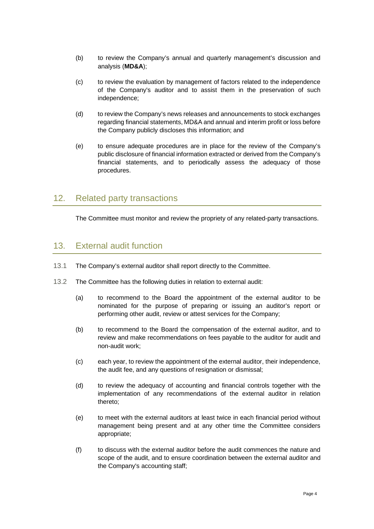- (b) to review the Company's annual and quarterly management's discussion and analysis (**MD&A**);
- (c) to review the evaluation by management of factors related to the independence of the Company's auditor and to assist them in the preservation of such independence;
- (d) to review the Company's news releases and announcements to stock exchanges regarding financial statements, MD&A and annual and interim profit or loss before the Company publicly discloses this information; and
- (e) to ensure adequate procedures are in place for the review of the Company's public disclosure of financial information extracted or derived from the Company's financial statements, and to periodically assess the adequacy of those procedures.

## 12. Related party transactions

The Committee must monitor and review the propriety of any related-party transactions.

## 13. External audit function

- 13.1 The Company's external auditor shall report directly to the Committee.
- 13.2 The Committee has the following duties in relation to external audit:
	- (a) to recommend to the Board the appointment of the external auditor to be nominated for the purpose of preparing or issuing an auditor's report or performing other audit, review or attest services for the Company;
	- (b) to recommend to the Board the compensation of the external auditor, and to review and make recommendations on fees payable to the auditor for audit and non-audit work;
	- (c) each year, to review the appointment of the external auditor, their independence, the audit fee, and any questions of resignation or dismissal;
	- (d) to review the adequacy of accounting and financial controls together with the implementation of any recommendations of the external auditor in relation thereto;
	- (e) to meet with the external auditors at least twice in each financial period without management being present and at any other time the Committee considers appropriate;
	- (f) to discuss with the external auditor before the audit commences the nature and scope of the audit, and to ensure coordination between the external auditor and the Company's accounting staff;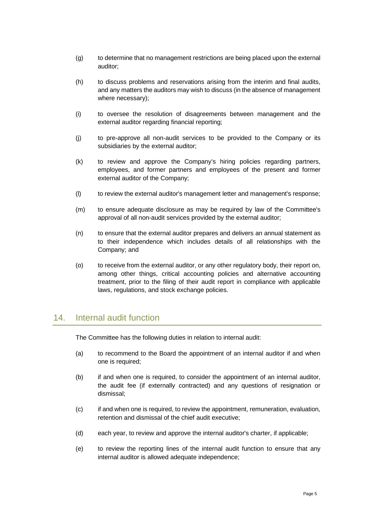- (g) to determine that no management restrictions are being placed upon the external auditor;
- (h) to discuss problems and reservations arising from the interim and final audits, and any matters the auditors may wish to discuss (in the absence of management where necessary);
- (i) to oversee the resolution of disagreements between management and the external auditor regarding financial reporting;
- (j) to pre-approve all non-audit services to be provided to the Company or its subsidiaries by the external auditor;
- (k) to review and approve the Company's hiring policies regarding partners, employees, and former partners and employees of the present and former external auditor of the Company;
- (l) to review the external auditor's management letter and management's response;
- (m) to ensure adequate disclosure as may be required by law of the Committee's approval of all non-audit services provided by the external auditor;
- (n) to ensure that the external auditor prepares and delivers an annual statement as to their independence which includes details of all relationships with the Company; and
- (o) to receive from the external auditor, or any other regulatory body, their report on, among other things, critical accounting policies and alternative accounting treatment, prior to the filing of their audit report in compliance with applicable laws, regulations, and stock exchange policies.

## 14. Internal audit function

The Committee has the following duties in relation to internal audit:

- (a) to recommend to the Board the appointment of an internal auditor if and when one is required;
- (b) if and when one is required, to consider the appointment of an internal auditor, the audit fee (if externally contracted) and any questions of resignation or dismissal;
- (c) if and when one is required, to review the appointment, remuneration, evaluation, retention and dismissal of the chief audit executive;
- (d) each year, to review and approve the internal auditor's charter, if applicable;
- (e) to review the reporting lines of the internal audit function to ensure that any internal auditor is allowed adequate independence;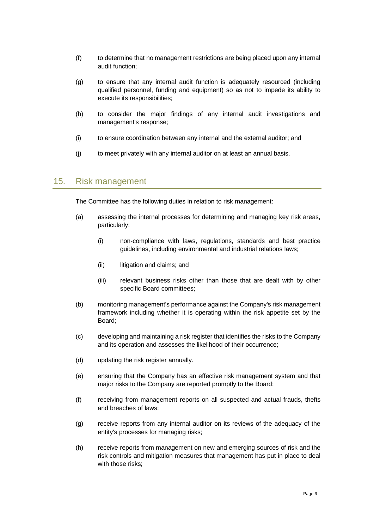- (f) to determine that no management restrictions are being placed upon any internal audit function;
- (g) to ensure that any internal audit function is adequately resourced (including qualified personnel, funding and equipment) so as not to impede its ability to execute its responsibilities;
- (h) to consider the major findings of any internal audit investigations and management's response;
- (i) to ensure coordination between any internal and the external auditor; and
- (j) to meet privately with any internal auditor on at least an annual basis.

#### 15. Risk management

The Committee has the following duties in relation to risk management:

- (a) assessing the internal processes for determining and managing key risk areas, particularly:
	- (i) non-compliance with laws, regulations, standards and best practice guidelines, including environmental and industrial relations laws;
	- (ii) litigation and claims; and
	- (iii) relevant business risks other than those that are dealt with by other specific Board committees;
- (b) monitoring management's performance against the Company's risk management framework including whether it is operating within the risk appetite set by the Board;
- (c) developing and maintaining a risk register that identifies the risks to the Company and its operation and assesses the likelihood of their occurrence;
- (d) updating the risk register annually.
- (e) ensuring that the Company has an effective risk management system and that major risks to the Company are reported promptly to the Board;
- (f) receiving from management reports on all suspected and actual frauds, thefts and breaches of laws;
- (g) receive reports from any internal auditor on its reviews of the adequacy of the entity's processes for managing risks;
- (h) receive reports from management on new and emerging sources of risk and the risk controls and mitigation measures that management has put in place to deal with those risks;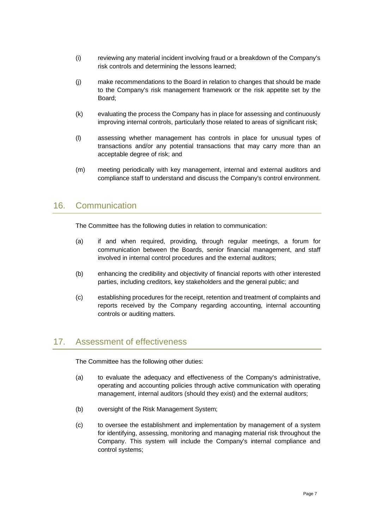- (i) reviewing any material incident involving fraud or a breakdown of the Company's risk controls and determining the lessons learned;
- (j) make recommendations to the Board in relation to changes that should be made to the Company's risk management framework or the risk appetite set by the Board;
- (k) evaluating the process the Company has in place for assessing and continuously improving internal controls, particularly those related to areas of significant risk;
- (l) assessing whether management has controls in place for unusual types of transactions and/or any potential transactions that may carry more than an acceptable degree of risk; and
- (m) meeting periodically with key management, internal and external auditors and compliance staff to understand and discuss the Company's control environment.

## 16. Communication

The Committee has the following duties in relation to communication:

- (a) if and when required, providing, through regular meetings, a forum for communication between the Boards, senior financial management, and staff involved in internal control procedures and the external auditors;
- (b) enhancing the credibility and objectivity of financial reports with other interested parties, including creditors, key stakeholders and the general public; and
- (c) establishing procedures for the receipt, retention and treatment of complaints and reports received by the Company regarding accounting, internal accounting controls or auditing matters.

## 17. Assessment of effectiveness

The Committee has the following other duties:

- (a) to evaluate the adequacy and effectiveness of the Company's administrative, operating and accounting policies through active communication with operating management, internal auditors (should they exist) and the external auditors;
- (b) oversight of the Risk Management System;
- (c) to oversee the establishment and implementation by management of a system for identifying, assessing, monitoring and managing material risk throughout the Company. This system will include the Company's internal compliance and control systems;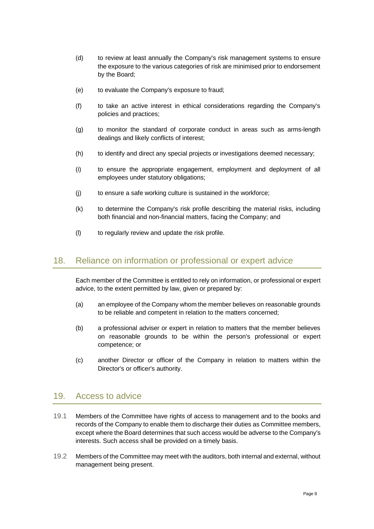- (d) to review at least annually the Company's risk management systems to ensure the exposure to the various categories of risk are minimised prior to endorsement by the Board;
- (e) to evaluate the Company's exposure to fraud;
- (f) to take an active interest in ethical considerations regarding the Company's policies and practices;
- (g) to monitor the standard of corporate conduct in areas such as arms-length dealings and likely conflicts of interest;
- (h) to identify and direct any special projects or investigations deemed necessary;
- (i) to ensure the appropriate engagement, employment and deployment of all employees under statutory obligations;
- (j) to ensure a safe working culture is sustained in the workforce;
- (k) to determine the Company's risk profile describing the material risks, including both financial and non-financial matters, facing the Company; and
- (l) to regularly review and update the risk profile.

#### 18. Reliance on information or professional or expert advice

Each member of the Committee is entitled to rely on information, or professional or expert advice, to the extent permitted by law, given or prepared by:

- (a) an employee of the Company whom the member believes on reasonable grounds to be reliable and competent in relation to the matters concerned;
- (b) a professional adviser or expert in relation to matters that the member believes on reasonable grounds to be within the person's professional or expert competence; or
- (c) another Director or officer of the Company in relation to matters within the Director's or officer's authority.

#### 19. Access to advice

- 19.1 Members of the Committee have rights of access to management and to the books and records of the Company to enable them to discharge their duties as Committee members, except where the Board determines that such access would be adverse to the Company's interests. Such access shall be provided on a timely basis.
- 19.2 Members of the Committee may meet with the auditors, both internal and external, without management being present.